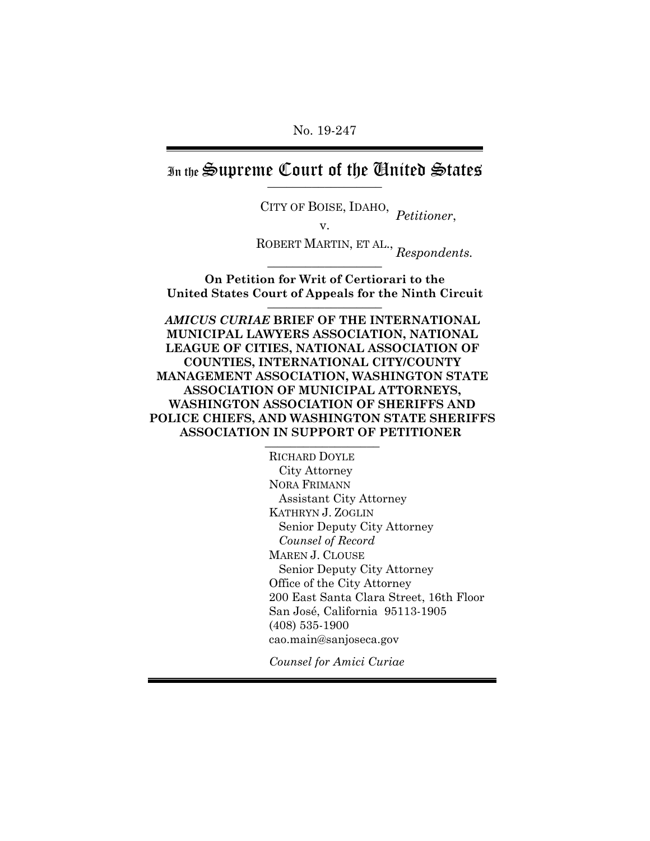In the Supreme Court of the Chuited States

CITY OF BOISE, IDAHO, *Petitioner*, ROBERT MARTIN, ET AL., *Respondents.* 

**On Petition for Writ of Certiorari to the**

**United States Court of Appeals for the Ninth Circuit** \_\_\_\_\_\_\_\_\_\_\_\_\_\_\_\_\_\_

*AMICUS CURIAE* **BRIEF OF THE INTERNATIONAL MUNICIPAL LAWYERS ASSOCIATION, NATIONAL LEAGUE OF CITIES, NATIONAL ASSOCIATION OF COUNTIES, INTERNATIONAL CITY/COUNTY MANAGEMENT ASSOCIATION, WASHINGTON STATE ASSOCIATION OF MUNICIPAL ATTORNEYS, WASHINGTON ASSOCIATION OF SHERIFFS AND POLICE CHIEFS, AND WASHINGTON STATE SHERIFFS ASSOCIATION IN SUPPORT OF PETITIONER** \_\_\_\_\_\_\_\_\_\_\_\_\_\_\_\_\_\_

> RICHARD DOYLE City Attorney NORA FRIMANN Assistant City Attorney KATHRYN J. ZOGLIN Senior Deputy City Attorney *Counsel of Record* MAREN J. CLOUSE Senior Deputy City Attorney Office of the City Attorney 200 East Santa Clara Street, 16th Floor San José, California 95113-1905 (408) 535-1900 cao.main@sanjoseca.gov

*Counsel for Amici Curiae*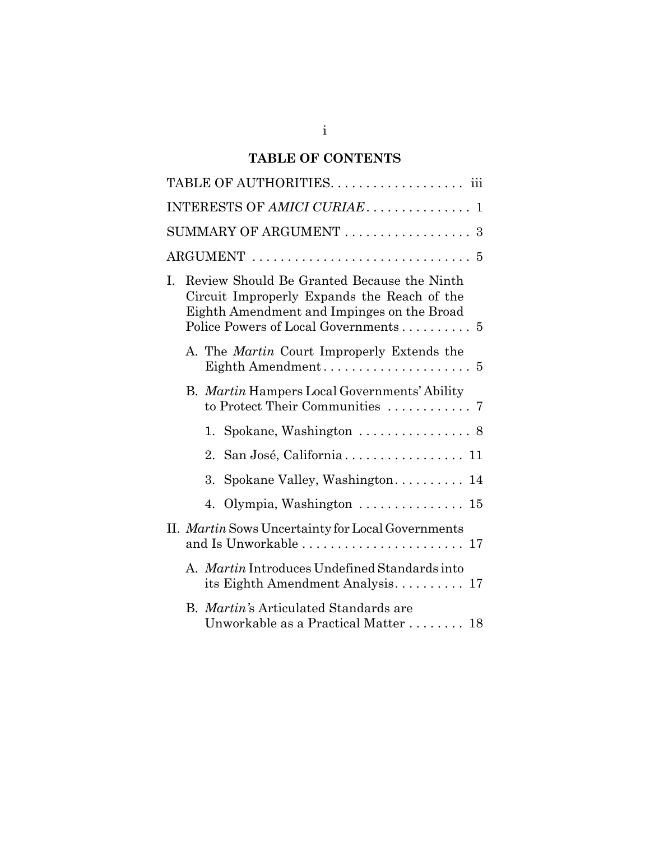# **TABLE OF CONTENTS**

| INTERESTS OF AMICI CURIAE 1                                                                                                                                                           |
|---------------------------------------------------------------------------------------------------------------------------------------------------------------------------------------|
| SUMMARY OF ARGUMENT  3                                                                                                                                                                |
|                                                                                                                                                                                       |
| Review Should Be Granted Because the Ninth<br>I.<br>Circuit Improperly Expands the Reach of the<br>Eighth Amendment and Impinges on the Broad<br>Police Powers of Local Governments 5 |
| A. The <i>Martin</i> Court Improperly Extends the                                                                                                                                     |
| B. Martin Hampers Local Governments' Ability                                                                                                                                          |
| 1. Spokane, Washington $\ldots \ldots \ldots \ldots$ . 8                                                                                                                              |
| San José, California 11<br>2.                                                                                                                                                         |
| Spokane Valley, Washington 14<br>3.                                                                                                                                                   |
| Olympia, Washington  15<br>4.                                                                                                                                                         |
| II. Martin Sows Uncertainty for Local Governments<br>and Is Unworkable  17                                                                                                            |
| A. Martin Introduces Undefined Standards into<br>its Eighth Amendment Analysis $17$                                                                                                   |
| B. Martin's Articulated Standards are<br>Unworkable as a Practical Matter 18                                                                                                          |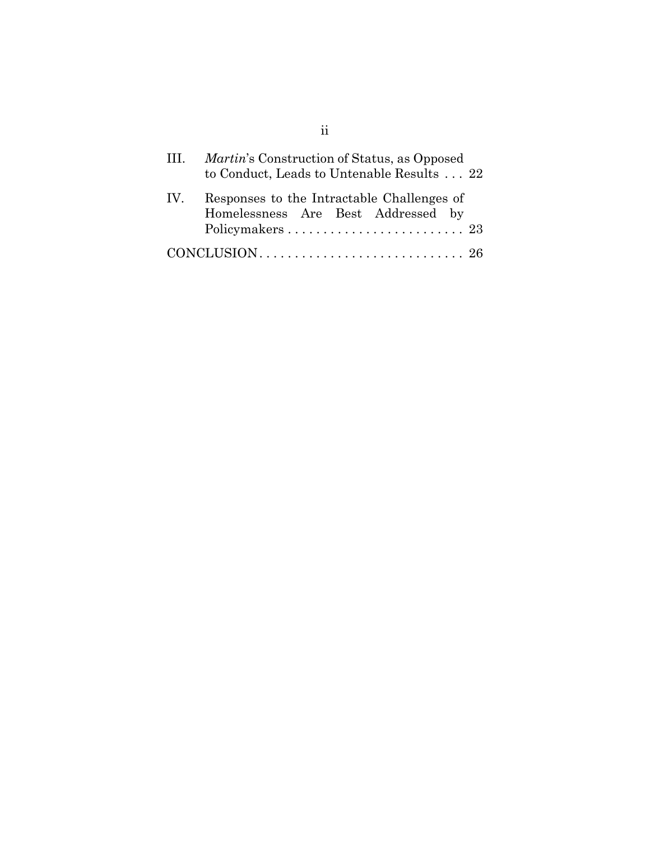| $\mathbf{H}$ | <i>Martin's</i> Construction of Status, as Opposed<br>to Conduct, Leads to Untenable Results  22 |
|--------------|--------------------------------------------------------------------------------------------------|
| IV.          | Responses to the Intractable Challenges of<br>Homelessness Are Best Addressed by                 |
|              |                                                                                                  |

ii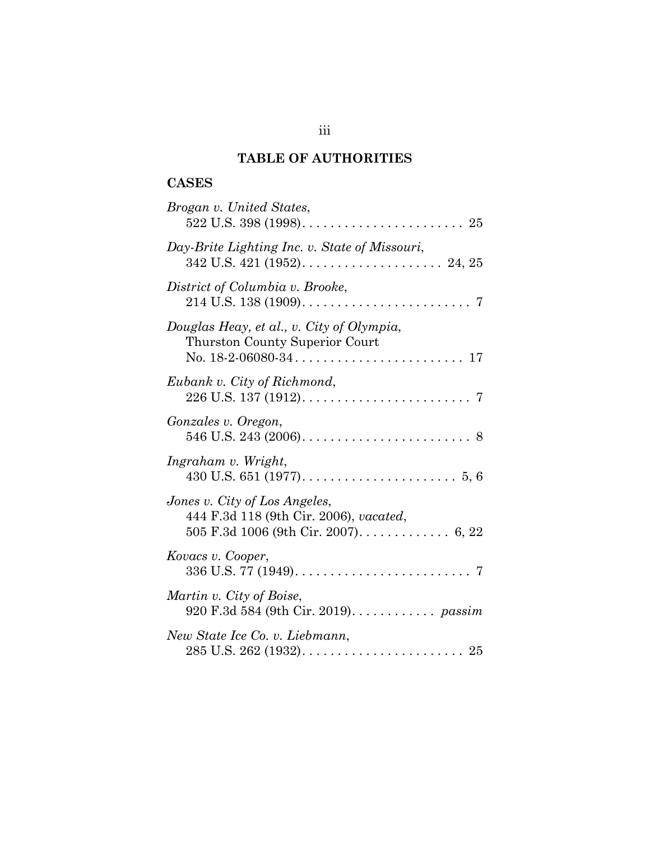# **TABLE OF AUTHORITIES**

## **CASES**

| Brogan v. United States,                                                    |
|-----------------------------------------------------------------------------|
| Day-Brite Lighting Inc. v. State of Missouri,                               |
| District of Columbia v. Brooke,<br>7                                        |
| Douglas Heay, et al., v. City of Olympia,<br>Thurston County Superior Court |
| Eubank v. City of Richmond,<br>7                                            |
| Gonzales v. Oregon,                                                         |
| Ingraham v. Wright,                                                         |
| Jones v. City of Los Angeles,<br>444 F.3d 118 (9th Cir. 2006), vacated,     |
| Kovacs v. Cooper,                                                           |
| Martin v. City of Boise,<br>920 F.3d 584 (9th Cir. 2019). <i>passim</i>     |
| New State Ice Co. v. Liebmann,                                              |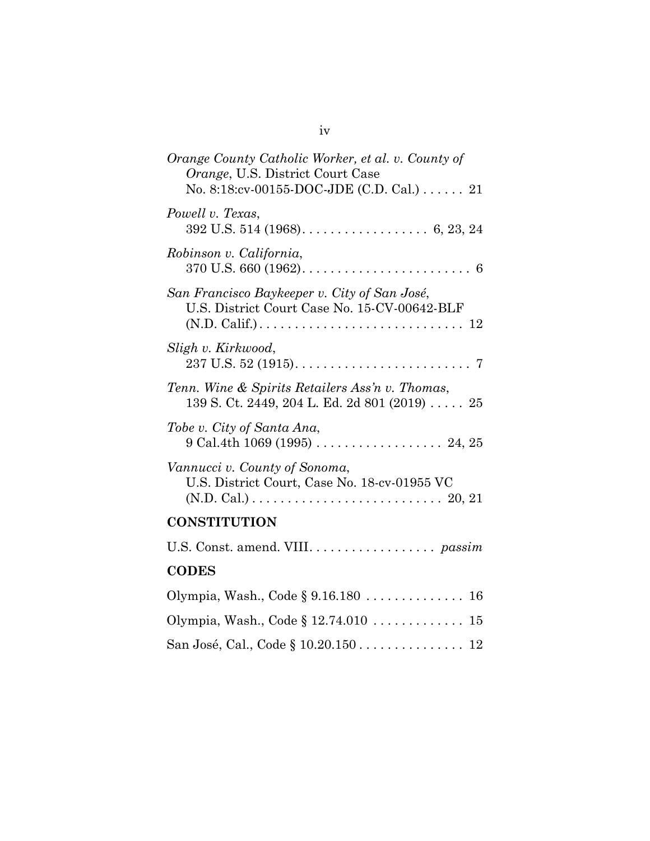| Orange County Catholic Worker, et al. v. County of<br>Orange, U.S. District Court Case<br>No. 8:18: $cv$ -00155-DOC-JDE (C.D. Cal.) 21                                            |
|-----------------------------------------------------------------------------------------------------------------------------------------------------------------------------------|
| Powell v. Texas,                                                                                                                                                                  |
| Robinson v. California,                                                                                                                                                           |
| San Francisco Baykeeper v. City of San José,<br>U.S. District Court Case No. 15-CV-00642-BLF<br>$(N.D. Calif.) \ldots \ldots \ldots \ldots \ldots \ldots \ldots \ldots \ldots 12$ |
| Sligh v. Kirkwood,                                                                                                                                                                |
| Tenn. Wine & Spirits Retailers Ass'n v. Thomas,<br>139 S. Ct. 2449, 204 L. Ed. 2d 801 (2019) 25                                                                                   |
| Tobe v. City of Santa Ana,                                                                                                                                                        |
| Vannucci v. County of Sonoma,<br>U.S. District Court, Case No. 18-cv-01955 VC<br>$(N.D. Cal.) \ldots \ldots \ldots \ldots \ldots \ldots \ldots \ldots \ldots 20, 21$              |
| <b>CONSTITUTION</b>                                                                                                                                                               |
|                                                                                                                                                                                   |
| <b>CODES</b>                                                                                                                                                                      |
|                                                                                                                                                                                   |
| Olympia, Wash., Code § 12.74.010 15                                                                                                                                               |
|                                                                                                                                                                                   |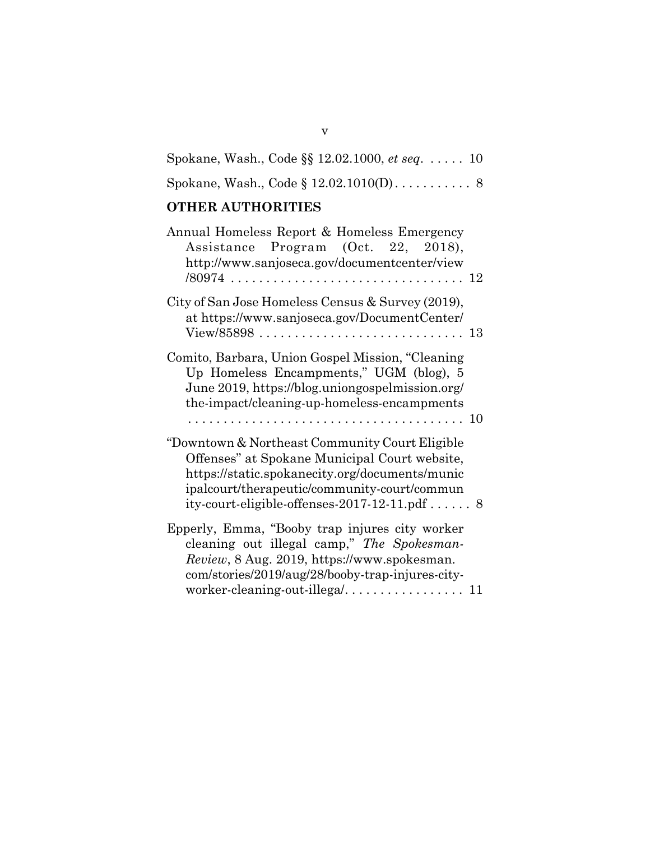|  | Spokane, Wash., Code $\S$ 12.02.1000, <i>et seq.</i> $\dots$ 10 |  |
|--|-----------------------------------------------------------------|--|
|  |                                                                 |  |

# **OTHER AUTHORITIES**

| Annual Homeless Report & Homeless Emergency<br>Assistance Program (Oct. 22, 2018),<br>http://www.sanjoseca.gov/documentcenter/view                                                                                                                  |  |
|-----------------------------------------------------------------------------------------------------------------------------------------------------------------------------------------------------------------------------------------------------|--|
|                                                                                                                                                                                                                                                     |  |
| City of San Jose Homeless Census & Survey (2019),<br>at https://www.sanjoseca.gov/DocumentCenter/                                                                                                                                                   |  |
| Comito, Barbara, Union Gospel Mission, "Cleaning<br>Up Homeless Encampments," UGM (blog), 5<br>June 2019, https://blog.uniongospelmission.org/<br>the-impact/cleaning-up-homeless-encampments                                                       |  |
| "Downtown & Northeast Community Court Eligible<br>Offenses" at Spokane Municipal Court website,<br>https://static.spokanecity.org/documents/munic<br>ipalcourt/therapeutic/community-court/commun<br>ity-court-eligible-offenses-2017-12-11.pdf $8$ |  |
| Epperly, Emma, "Booby trap injures city worker<br>cleaning out illegal camp," The Spokesman-<br>Review, 8 Aug. 2019, https://www.spokesman.<br>com/stories/2019/aug/28/booby-trap-injures-city-<br>worker-cleaning-out-illega/ 11                   |  |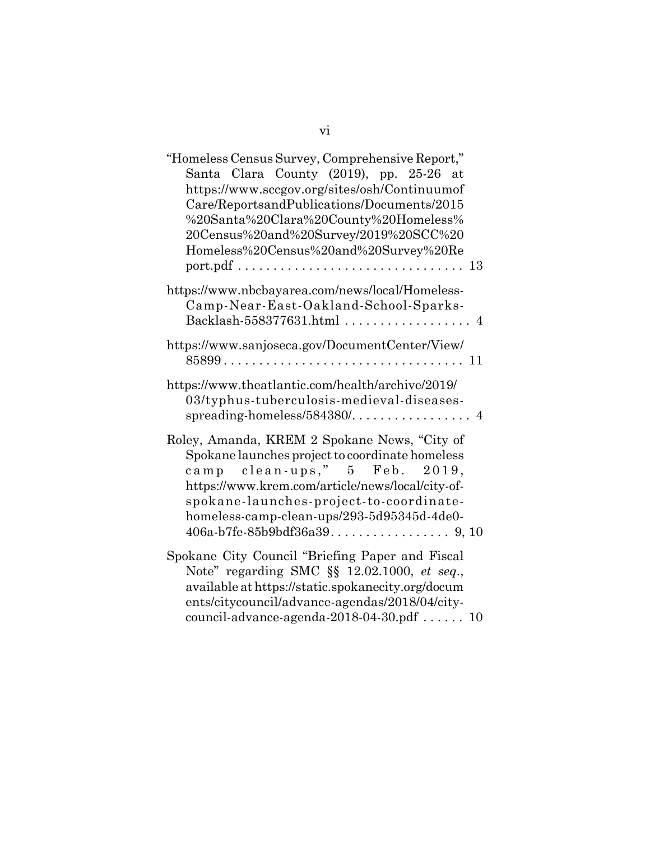| "Homeless Census Survey, Comprehensive Report,"   |
|---------------------------------------------------|
| Santa Clara County (2019), pp. 25-26 at           |
| https://www.sccgov.org/sites/osh/Continuumof      |
| Care/ReportsandPublications/Documents/2015        |
| %20Santa%20Clara%20County%20Homeless%             |
| 20Census%20and%20Survey/2019%20SCC%20             |
| Homeless%20Census%20and%20Survey%20Re             |
|                                                   |
|                                                   |
| https://www.nbcbayarea.com/news/local/Homeless-   |
| Camp-Near-East-Oakland-School-Sparks-             |
| Backlash-558377631.html  4                        |
|                                                   |
| https://www.sanjoseca.gov/DocumentCenter/View/    |
|                                                   |
| https://www.theatlantic.com/health/archive/2019/  |
| 03/typhus-tuberculosis-medieval-diseases-         |
|                                                   |
|                                                   |
| Roley, Amanda, KREM 2 Spokane News, "City of      |
| Spokane launches project to coordinate homeless   |
| camp clean-ups," 5 Feb. 2019,                     |
| https://www.krem.com/article/news/local/city-of-  |
| spokane-launches-project-to-coordinate-           |
| homeless-camp-clean-ups/293-5d95345d-4de0-        |
|                                                   |
|                                                   |
| Spokane City Council "Briefing Paper and Fiscal   |
| Note" regarding SMC §§ 12.02.1000, et seq.,       |
| available at https://static.spokanecity.org/docum |
| ents/citycouncil/advance-agendas/2018/04/city-    |
| council-advance-agenda-2018-04-30.pdf  10         |
|                                                   |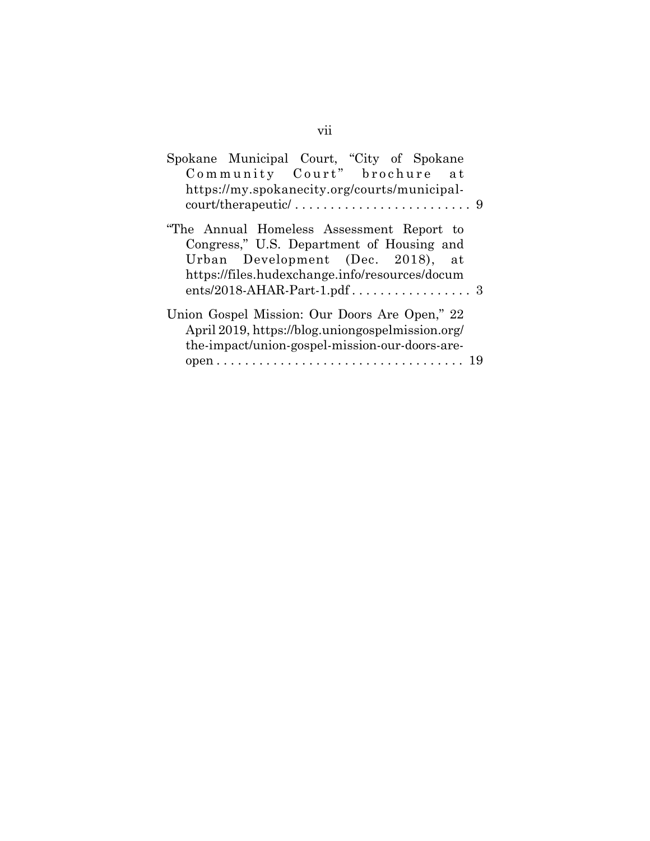| Spokane Municipal Court, "City of Spokane        |
|--------------------------------------------------|
| Community Court" brochure at                     |
| https://my.spokanecity.org/courts/municipal-     |
|                                                  |
| "The Annual Homeless Assessment Report to        |
| Congress," U.S. Department of Housing and        |
| Urban Development (Dec. 2018), at                |
| https://files.hudexchange.info/resources/docum   |
|                                                  |
| Union Gospel Mission: Our Doors Are Open," 22    |
| April 2019, https://blog.uniongospelmission.org/ |
| the-impact/union-gospel-mission-our-doors-are-   |
|                                                  |
|                                                  |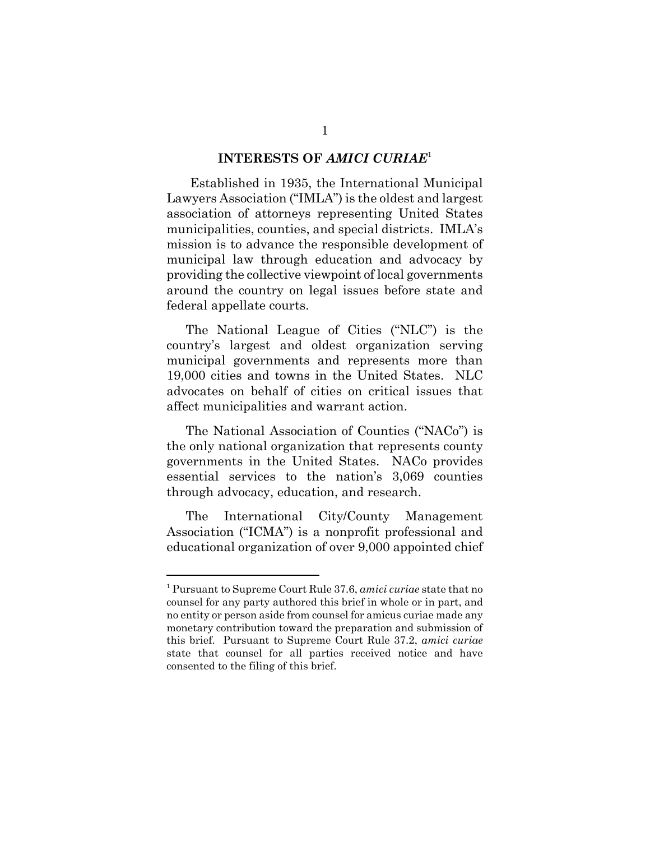#### **INTERESTS OF** *AMICI CURIAE*<sup>1</sup>

 Established in 1935, the International Municipal Lawyers Association ("IMLA") is the oldest and largest association of attorneys representing United States municipalities, counties, and special districts. IMLA's mission is to advance the responsible development of municipal law through education and advocacy by providing the collective viewpoint of local governments around the country on legal issues before state and federal appellate courts.

The National League of Cities ("NLC") is the country's largest and oldest organization serving municipal governments and represents more than 19,000 cities and towns in the United States. NLC advocates on behalf of cities on critical issues that affect municipalities and warrant action.

The National Association of Counties ("NACo") is the only national organization that represents county governments in the United States. NACo provides essential services to the nation's 3,069 counties through advocacy, education, and research.

The International City/County Management Association ("ICMA") is a nonprofit professional and educational organization of over 9,000 appointed chief

<sup>1</sup> Pursuant to Supreme Court Rule 37.6, *amici curiae* state that no counsel for any party authored this brief in whole or in part, and no entity or person aside from counsel for amicus curiae made any monetary contribution toward the preparation and submission of this brief. Pursuant to Supreme Court Rule 37.2, *amici curiae* state that counsel for all parties received notice and have consented to the filing of this brief.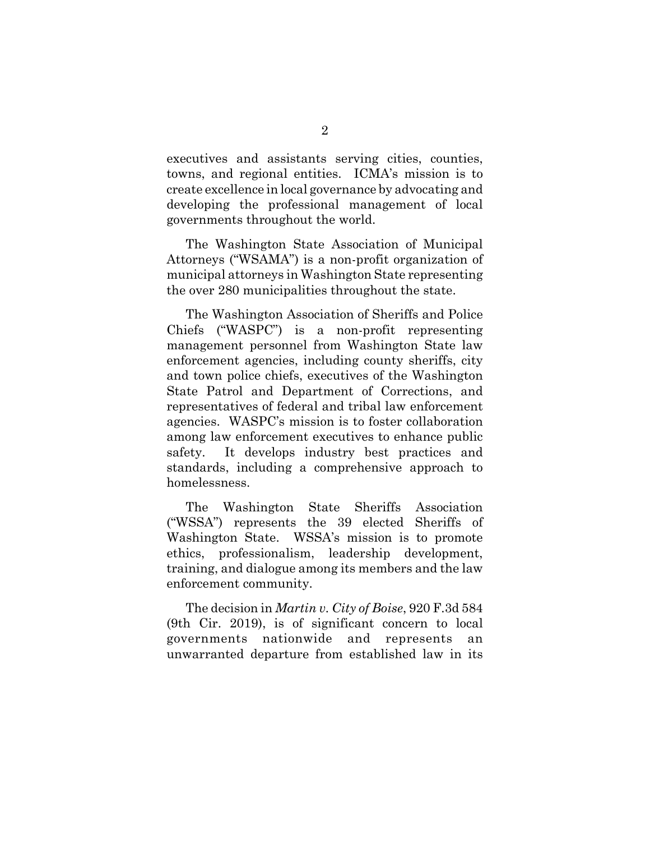executives and assistants serving cities, counties, towns, and regional entities. ICMA's mission is to create excellence in local governance by advocating and developing the professional management of local governments throughout the world.

The Washington State Association of Municipal Attorneys ("WSAMA") is a non-profit organization of municipal attorneys in Washington State representing the over 280 municipalities throughout the state.

The Washington Association of Sheriffs and Police Chiefs ("WASPC") is a non-profit representing management personnel from Washington State law enforcement agencies, including county sheriffs, city and town police chiefs, executives of the Washington State Patrol and Department of Corrections, and representatives of federal and tribal law enforcement agencies. WASPC's mission is to foster collaboration among law enforcement executives to enhance public safety. It develops industry best practices and standards, including a comprehensive approach to homelessness.

The Washington State Sheriffs Association ("WSSA") represents the 39 elected Sheriffs of Washington State. WSSA's mission is to promote ethics, professionalism, leadership development, training, and dialogue among its members and the law enforcement community.

The decision in *Martin v. City of Boise*, 920 F.3d 584 (9th Cir. 2019), is of significant concern to local governments nationwide and represents an unwarranted departure from established law in its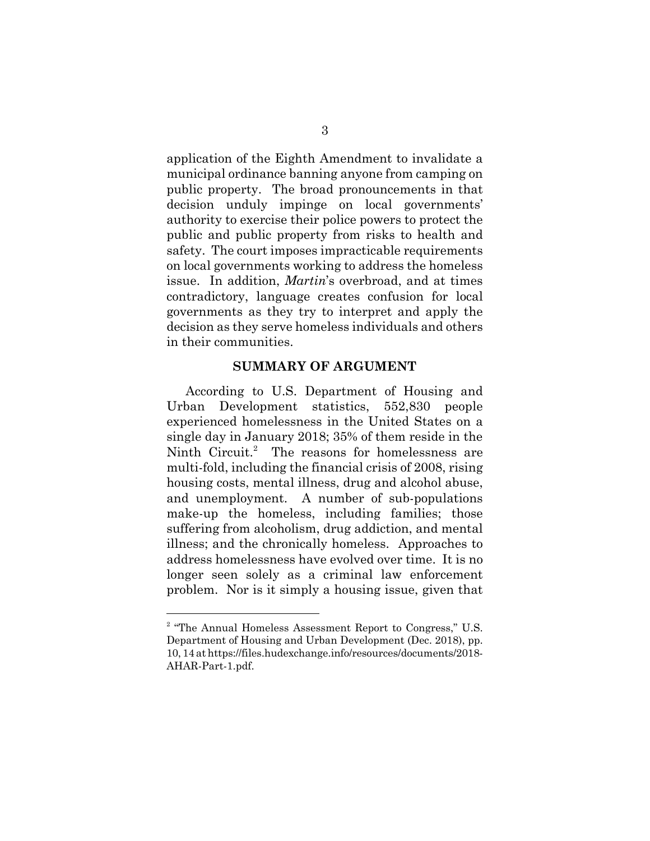application of the Eighth Amendment to invalidate a municipal ordinance banning anyone from camping on public property. The broad pronouncements in that decision unduly impinge on local governments' authority to exercise their police powers to protect the public and public property from risks to health and safety. The court imposes impracticable requirements on local governments working to address the homeless issue. In addition, *Martin*'s overbroad, and at times contradictory, language creates confusion for local governments as they try to interpret and apply the decision as they serve homeless individuals and others in their communities.

### **SUMMARY OF ARGUMENT**

According to U.S. Department of Housing and Urban Development statistics, 552,830 people experienced homelessness in the United States on a single day in January 2018; 35% of them reside in the Ninth Circuit.<sup>2</sup> The reasons for homelessness are multi-fold, including the financial crisis of 2008, rising housing costs, mental illness, drug and alcohol abuse, and unemployment. A number of sub-populations make-up the homeless, including families; those suffering from alcoholism, drug addiction, and mental illness; and the chronically homeless. Approaches to address homelessness have evolved over time. It is no longer seen solely as a criminal law enforcement problem. Nor is it simply a housing issue, given that

<sup>&</sup>lt;sup>2</sup> "The Annual Homeless Assessment Report to Congress," U.S. Department of Housing and Urban Development (Dec. 2018), pp. 10, 14 at https://files.hudexchange.info/resources/documents/2018- AHAR-Part-1.pdf.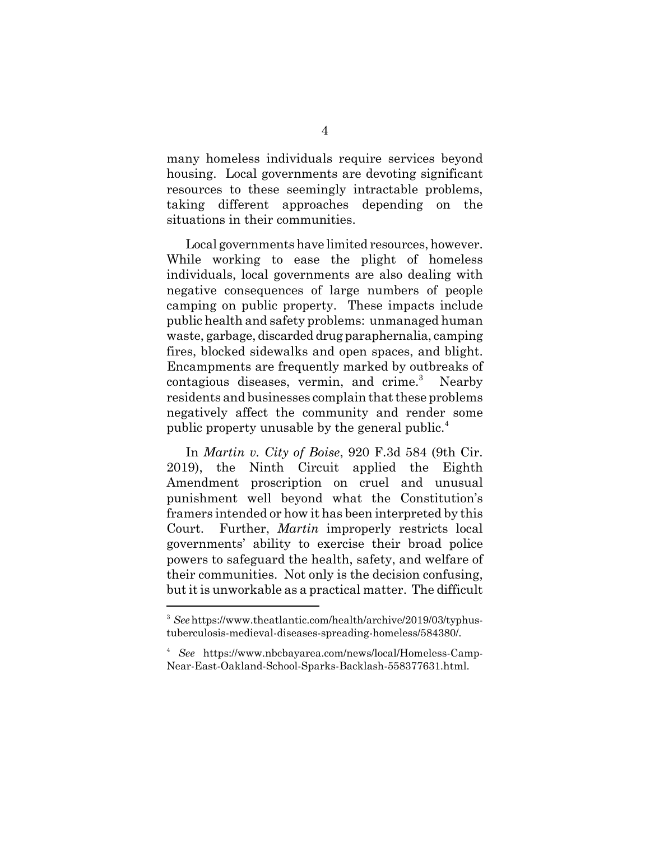many homeless individuals require services beyond housing. Local governments are devoting significant resources to these seemingly intractable problems, taking different approaches depending on the situations in their communities.

Local governments have limited resources, however. While working to ease the plight of homeless individuals, local governments are also dealing with negative consequences of large numbers of people camping on public property. These impacts include public health and safety problems: unmanaged human waste, garbage, discarded drug paraphernalia, camping fires, blocked sidewalks and open spaces, and blight. Encampments are frequently marked by outbreaks of contagious diseases, vermin, and crime.<sup>3</sup> Nearby residents and businesses complain that these problems negatively affect the community and render some public property unusable by the general public.<sup>4</sup>

In *Martin v. City of Boise*, 920 F.3d 584 (9th Cir. 2019), the Ninth Circuit applied the Eighth Amendment proscription on cruel and unusual punishment well beyond what the Constitution's framers intended or how it has been interpreted by this Court. Further, *Martin* improperly restricts local governments' ability to exercise their broad police powers to safeguard the health, safety, and welfare of their communities. Not only is the decision confusing, but it is unworkable as a practical matter. The difficult

<sup>&</sup>lt;sup>3</sup> See https://www.theatlantic.com/health/archive/2019/03/typhustuberculosis-medieval-diseases-spreading-homeless/584380/.

<sup>4</sup> *See* https://www.nbcbayarea.com/news/local/Homeless-Camp-Near-East-Oakland-School-Sparks-Backlash-558377631.html.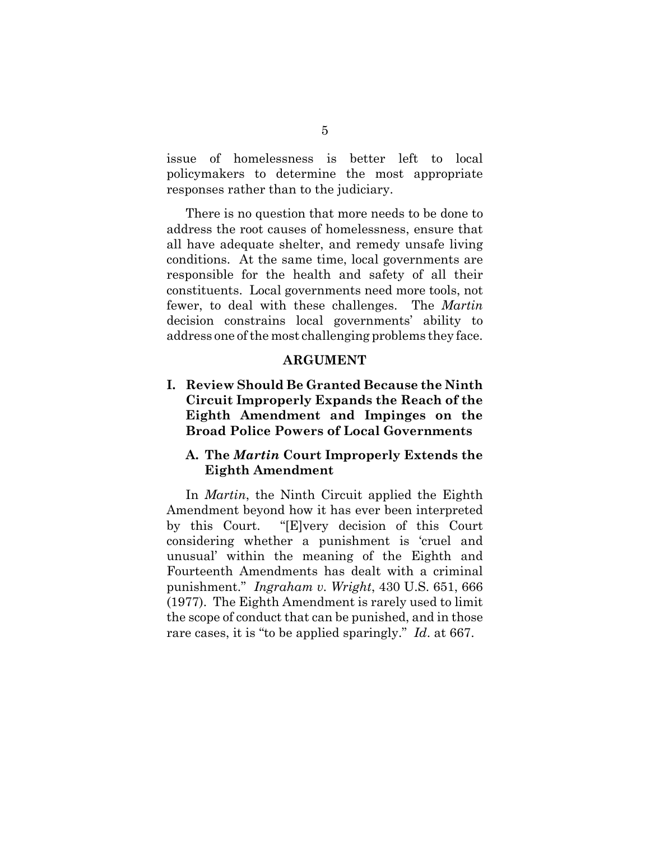issue of homelessness is better left to local policymakers to determine the most appropriate responses rather than to the judiciary.

There is no question that more needs to be done to address the root causes of homelessness, ensure that all have adequate shelter, and remedy unsafe living conditions. At the same time, local governments are responsible for the health and safety of all their constituents. Local governments need more tools, not fewer, to deal with these challenges. The *Martin* decision constrains local governments' ability to address one of the most challenging problems they face.

#### **ARGUMENT**

**I. Review Should Be Granted Because the Ninth Circuit Improperly Expands the Reach of the Eighth Amendment and Impinges on the Broad Police Powers of Local Governments** 

## **A. The** *Martin* **Court Improperly Extends the Eighth Amendment**

In *Martin*, the Ninth Circuit applied the Eighth Amendment beyond how it has ever been interpreted by this Court. "[E]very decision of this Court considering whether a punishment is 'cruel and unusual' within the meaning of the Eighth and Fourteenth Amendments has dealt with a criminal punishment." *Ingraham v. Wright*, 430 U.S. 651, 666 (1977). The Eighth Amendment is rarely used to limit the scope of conduct that can be punished, and in those rare cases, it is "to be applied sparingly." *Id*. at 667.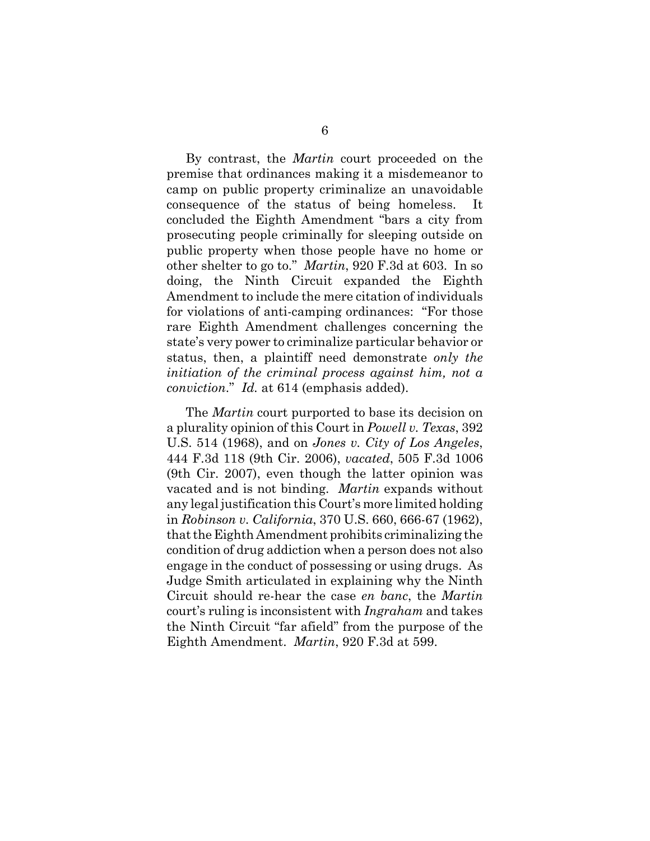By contrast, the *Martin* court proceeded on the premise that ordinances making it a misdemeanor to camp on public property criminalize an unavoidable consequence of the status of being homeless. It concluded the Eighth Amendment "bars a city from prosecuting people criminally for sleeping outside on public property when those people have no home or other shelter to go to." *Martin*, 920 F.3d at 603. In so doing, the Ninth Circuit expanded the Eighth Amendment to include the mere citation of individuals for violations of anti-camping ordinances: "For those rare Eighth Amendment challenges concerning the state's very power to criminalize particular behavior or status, then, a plaintiff need demonstrate *only the initiation of the criminal process against him, not a conviction*." *Id.* at 614 (emphasis added).

The *Martin* court purported to base its decision on a plurality opinion of this Court in *Powell v. Texas*, 392 U.S. 514 (1968), and on *Jones v. City of Los Angeles*, 444 F.3d 118 (9th Cir. 2006), *vacated*, 505 F.3d 1006 (9th Cir. 2007), even though the latter opinion was vacated and is not binding. *Martin* expands without any legal justification this Court's more limited holding in *Robinson v. California*, 370 U.S. 660, 666-67 (1962), that the Eighth Amendment prohibits criminalizing the condition of drug addiction when a person does not also engage in the conduct of possessing or using drugs. As Judge Smith articulated in explaining why the Ninth Circuit should re-hear the case *en banc*, the *Martin* court's ruling is inconsistent with *Ingraham* and takes the Ninth Circuit "far afield" from the purpose of the Eighth Amendment. *Martin*, 920 F.3d at 599.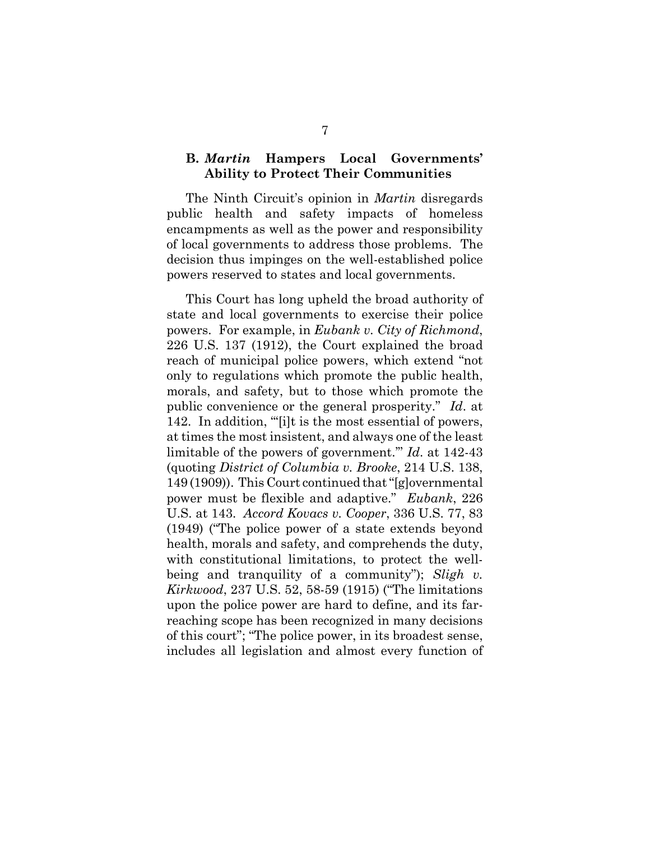### **B.** *Martin* **Hampers Local Governments' Ability to Protect Their Communities**

The Ninth Circuit's opinion in *Martin* disregards public health and safety impacts of homeless encampments as well as the power and responsibility of local governments to address those problems. The decision thus impinges on the well-established police powers reserved to states and local governments.

This Court has long upheld the broad authority of state and local governments to exercise their police powers. For example, in *Eubank v. City of Richmond*, 226 U.S. 137 (1912), the Court explained the broad reach of municipal police powers, which extend "not only to regulations which promote the public health, morals, and safety, but to those which promote the public convenience or the general prosperity." *Id*. at 142. In addition, "'[i]t is the most essential of powers, at times the most insistent, and always one of the least limitable of the powers of government.'" *Id*. at 142-43 (quoting *District of Columbia v. Brooke*, 214 U.S. 138, 149 (1909)). This Court continued that "[g]overnmental power must be flexible and adaptive." *Eubank*, 226 U.S. at 143. *Accord Kovacs v. Cooper*, 336 U.S. 77, 83 (1949) ("The police power of a state extends beyond health, morals and safety, and comprehends the duty, with constitutional limitations, to protect the wellbeing and tranquility of a community"); *Sligh v. Kirkwood*, 237 U.S. 52, 58-59 (1915) ("The limitations upon the police power are hard to define, and its farreaching scope has been recognized in many decisions of this court"; "The police power, in its broadest sense, includes all legislation and almost every function of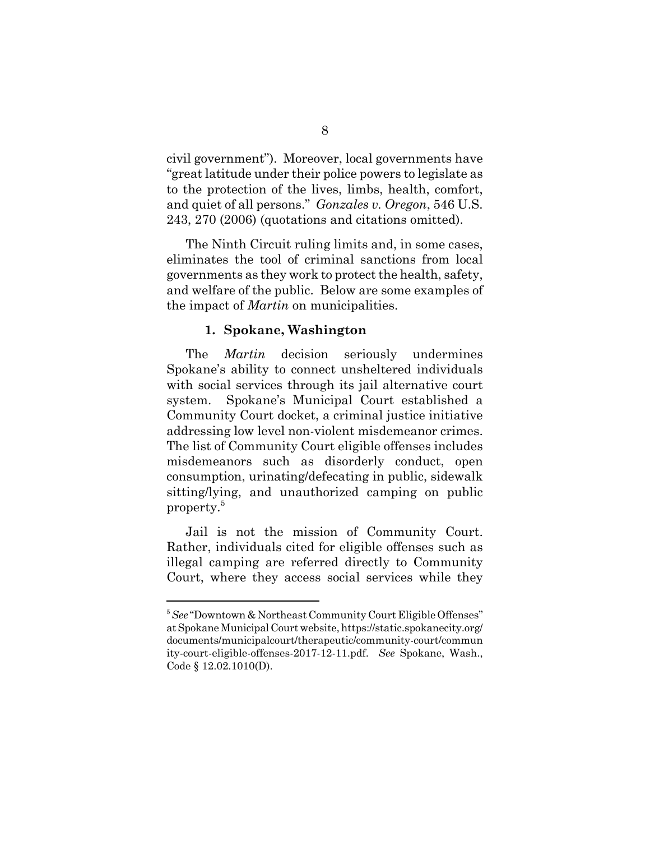civil government"). Moreover, local governments have "great latitude under their police powers to legislate as to the protection of the lives, limbs, health, comfort, and quiet of all persons." *Gonzales v. Oregon*, 546 U.S. 243, 270 (2006) (quotations and citations omitted).

The Ninth Circuit ruling limits and, in some cases, eliminates the tool of criminal sanctions from local governments as they work to protect the health, safety, and welfare of the public. Below are some examples of the impact of *Martin* on municipalities.

#### **1. Spokane, Washington**

The *Martin* decision seriously undermines Spokane's ability to connect unsheltered individuals with social services through its jail alternative court system. Spokane's Municipal Court established a Community Court docket, a criminal justice initiative addressing low level non-violent misdemeanor crimes. The list of Community Court eligible offenses includes misdemeanors such as disorderly conduct, open consumption, urinating/defecating in public, sidewalk sitting/lying, and unauthorized camping on public property.<sup>5</sup>

Jail is not the mission of Community Court. Rather, individuals cited for eligible offenses such as illegal camping are referred directly to Community Court, where they access social services while they

<sup>5</sup>*See* "Downtown & Northeast Community Court Eligible Offenses" at Spokane Municipal Court website, https://static.spokanecity.org/ documents/municipalcourt/therapeutic/community-court/commun ity-court-eligible-offenses-2017-12-11.pdf. *See* Spokane, Wash., Code § 12.02.1010(D).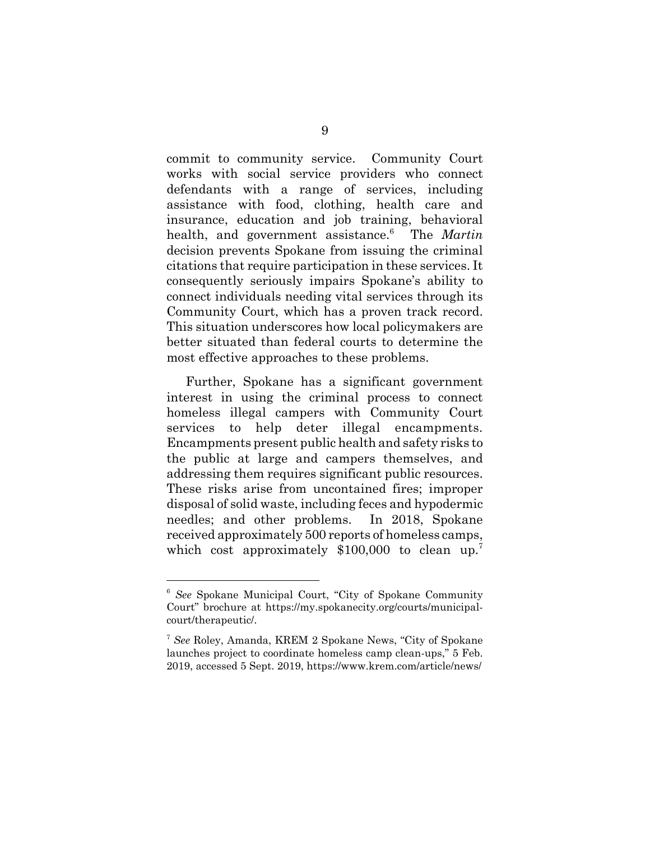commit to community service. Community Court works with social service providers who connect defendants with a range of services, including assistance with food, clothing, health care and insurance, education and job training, behavioral health, and government assistance.<sup>6</sup> The *Martin* decision prevents Spokane from issuing the criminal citations that require participation in these services. It consequently seriously impairs Spokane's ability to connect individuals needing vital services through its Community Court, which has a proven track record. This situation underscores how local policymakers are better situated than federal courts to determine the most effective approaches to these problems.

Further, Spokane has a significant government interest in using the criminal process to connect homeless illegal campers with Community Court services to help deter illegal encampments. Encampments present public health and safety risks to the public at large and campers themselves, and addressing them requires significant public resources. These risks arise from uncontained fires; improper disposal of solid waste, including feces and hypodermic needles; and other problems. In 2018, Spokane received approximately 500 reports of homeless camps, which cost approximately  $$100,000$  to clean up.<sup>7</sup>

<sup>6</sup> *See* Spokane Municipal Court, "City of Spokane Community Court" brochure at https://my.spokanecity.org/courts/municipalcourt/therapeutic/.

<sup>7</sup> *See* Roley, Amanda, KREM 2 Spokane News, "City of Spokane launches project to coordinate homeless camp clean-ups," 5 Feb. 2019, accessed 5 Sept. 2019, https://www.krem.com/article/news/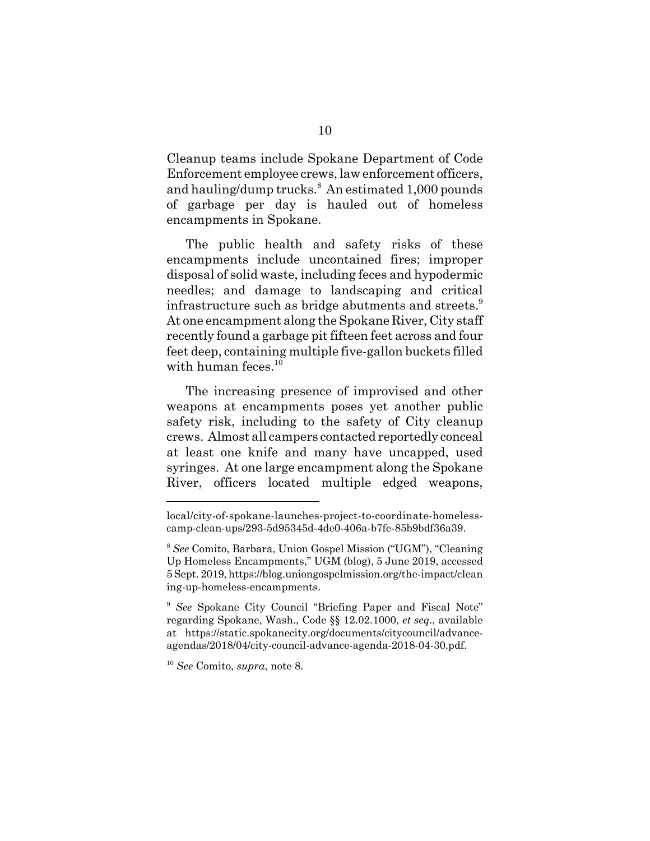Cleanup teams include Spokane Department of Code Enforcement employee crews, law enforcement officers, and hauling/dump trucks.<sup>8</sup> An estimated 1,000 pounds of garbage per day is hauled out of homeless encampments in Spokane.

The public health and safety risks of these encampments include uncontained fires; improper disposal of solid waste, including feces and hypodermic needles; and damage to landscaping and critical infrastructure such as bridge abutments and streets.<sup>9</sup> At one encampment along the Spokane River, City staff recently found a garbage pit fifteen feet across and four feet deep, containing multiple five-gallon buckets filled with human feces. $10$ 

The increasing presence of improvised and other weapons at encampments poses yet another public safety risk, including to the safety of City cleanup crews. Almost all campers contacted reportedly conceal at least one knife and many have uncapped, used syringes. At one large encampment along the Spokane River, officers located multiple edged weapons,

local/city-of-spokane-launches-project-to-coordinate-homelesscamp-clean-ups/293-5d95345d-4de0-406a-b7fe-85b9bdf36a39.

<sup>8</sup> *See* Comito, Barbara, Union Gospel Mission ("UGM"), "Cleaning Up Homeless Encampments," UGM (blog), 5 June 2019, accessed 5 Sept. 2019, https://blog.uniongospelmission.org/the-impact/clean ing-up-homeless-encampments.

<sup>9</sup> *See* Spokane City Council "Briefing Paper and Fiscal Note" regarding Spokane, Wash., Code §§ 12.02.1000, *et seq*., available at https://static.spokanecity.org/documents/citycouncil/advanceagendas/2018/04/city-council-advance-agenda-2018-04-30.pdf.

<sup>10</sup> *See* Comito, *supra*, note 8.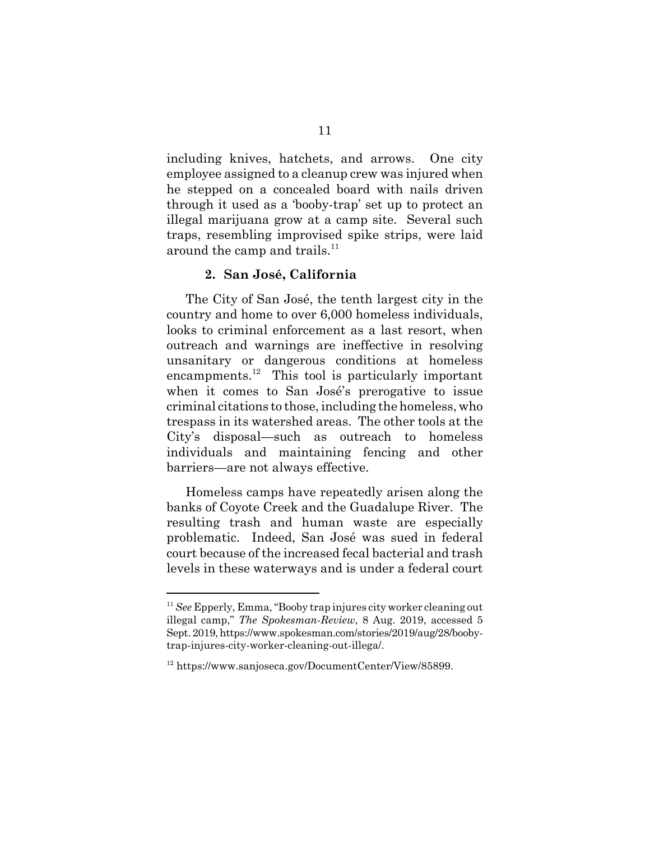including knives, hatchets, and arrows. One city employee assigned to a cleanup crew was injured when he stepped on a concealed board with nails driven through it used as a 'booby-trap' set up to protect an illegal marijuana grow at a camp site. Several such traps, resembling improvised spike strips, were laid around the camp and trails.<sup>11</sup>

#### **2. San José, California**

The City of San José, the tenth largest city in the country and home to over 6,000 homeless individuals, looks to criminal enforcement as a last resort, when outreach and warnings are ineffective in resolving unsanitary or dangerous conditions at homeless encampments. $^{12}$  This tool is particularly important when it comes to San José's prerogative to issue criminal citations to those, including the homeless, who trespass in its watershed areas. The other tools at the City's disposal—such as outreach to homeless individuals and maintaining fencing and other barriers—are not always effective.

Homeless camps have repeatedly arisen along the banks of Coyote Creek and the Guadalupe River. The resulting trash and human waste are especially problematic. Indeed, San José was sued in federal court because of the increased fecal bacterial and trash levels in these waterways and is under a federal court

<sup>11</sup> *See* Epperly, Emma, "Booby trap injures city worker cleaning out illegal camp," *The Spokesman-Review*, 8 Aug. 2019, accessed 5 Sept. 2019, https://www.spokesman.com/stories/2019/aug/28/boobytrap-injures-city-worker-cleaning-out-illega/.

<sup>12</sup> https://www.sanjoseca.gov/DocumentCenter/View/85899.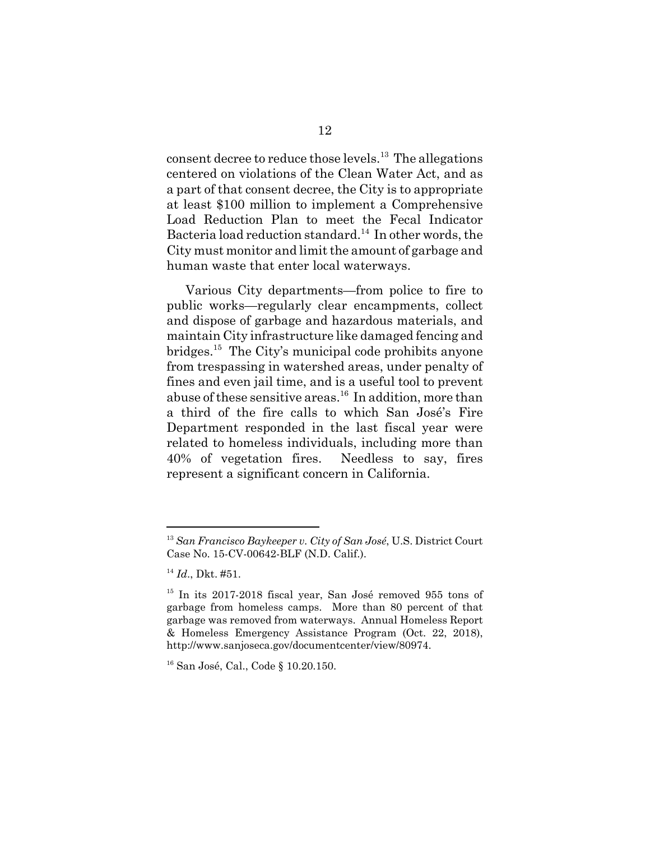consent decree to reduce those levels.<sup>13</sup> The allegations centered on violations of the Clean Water Act, and as a part of that consent decree, the City is to appropriate at least \$100 million to implement a Comprehensive Load Reduction Plan to meet the Fecal Indicator Bacteria load reduction standard.<sup>14</sup> In other words, the City must monitor and limit the amount of garbage and human waste that enter local waterways.

Various City departments—from police to fire to public works—regularly clear encampments, collect and dispose of garbage and hazardous materials, and maintain City infrastructure like damaged fencing and bridges.15 The City's municipal code prohibits anyone from trespassing in watershed areas, under penalty of fines and even jail time, and is a useful tool to prevent abuse of these sensitive areas.<sup>16</sup> In addition, more than a third of the fire calls to which San José's Fire Department responded in the last fiscal year were related to homeless individuals, including more than 40% of vegetation fires. Needless to say, fires represent a significant concern in California.

<sup>13</sup> *San Francisco Baykeeper v. City of San José*, U.S. District Court Case No. 15-CV-00642-BLF (N.D. Calif.).

<sup>14</sup> *Id*., Dkt. #51.

<sup>&</sup>lt;sup>15</sup> In its 2017-2018 fiscal year, San José removed 955 tons of garbage from homeless camps. More than 80 percent of that garbage was removed from waterways. Annual Homeless Report & Homeless Emergency Assistance Program (Oct. 22, 2018), http://www.sanjoseca.gov/documentcenter/view/80974.

<sup>&</sup>lt;sup>16</sup> San José, Cal., Code § 10.20.150.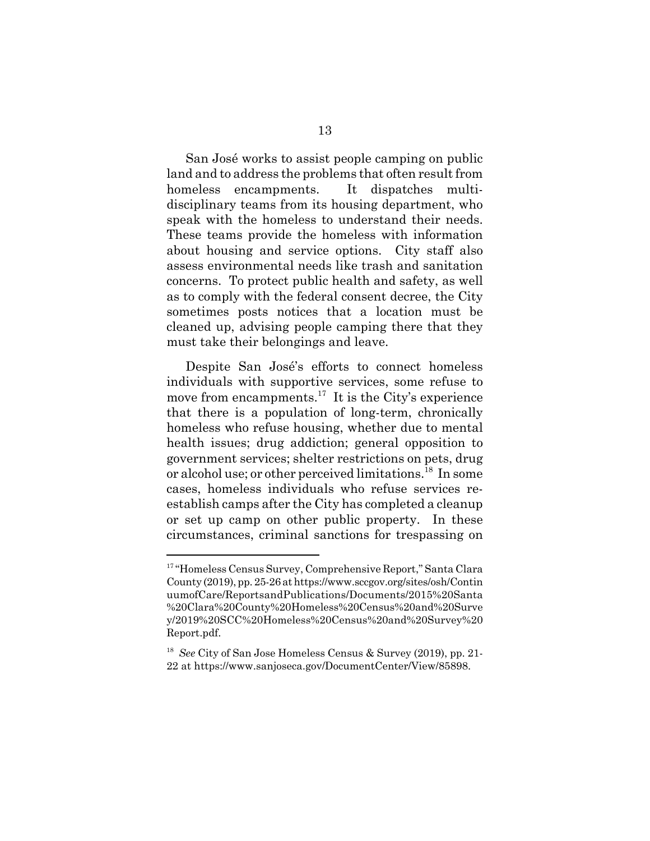San José works to assist people camping on public land and to address the problems that often result from homeless encampments. It dispatches multidisciplinary teams from its housing department, who speak with the homeless to understand their needs. These teams provide the homeless with information about housing and service options. City staff also assess environmental needs like trash and sanitation concerns. To protect public health and safety, as well as to comply with the federal consent decree, the City sometimes posts notices that a location must be cleaned up, advising people camping there that they must take their belongings and leave.

Despite San José's efforts to connect homeless individuals with supportive services, some refuse to move from encampments.<sup>17</sup> It is the City's experience that there is a population of long-term, chronically homeless who refuse housing, whether due to mental health issues; drug addiction; general opposition to government services; shelter restrictions on pets, drug or alcohol use; or other perceived limitations.<sup>18</sup> In some cases, homeless individuals who refuse services reestablish camps after the City has completed a cleanup or set up camp on other public property. In these circumstances, criminal sanctions for trespassing on

<sup>&</sup>lt;sup>17</sup> "Homeless Census Survey, Comprehensive Report," Santa Clara County (2019), pp. 25-26 at https://www.sccgov.org/sites/osh/Contin uumofCare/ReportsandPublications/Documents/2015%20Santa %20Clara%20County%20Homeless%20Census%20and%20Surve y/2019%20SCC%20Homeless%20Census%20and%20Survey%20 Report.pdf.

<sup>18</sup> *See* City of San Jose Homeless Census & Survey (2019), pp. 21- 22 at https://www.sanjoseca.gov/DocumentCenter/View/85898.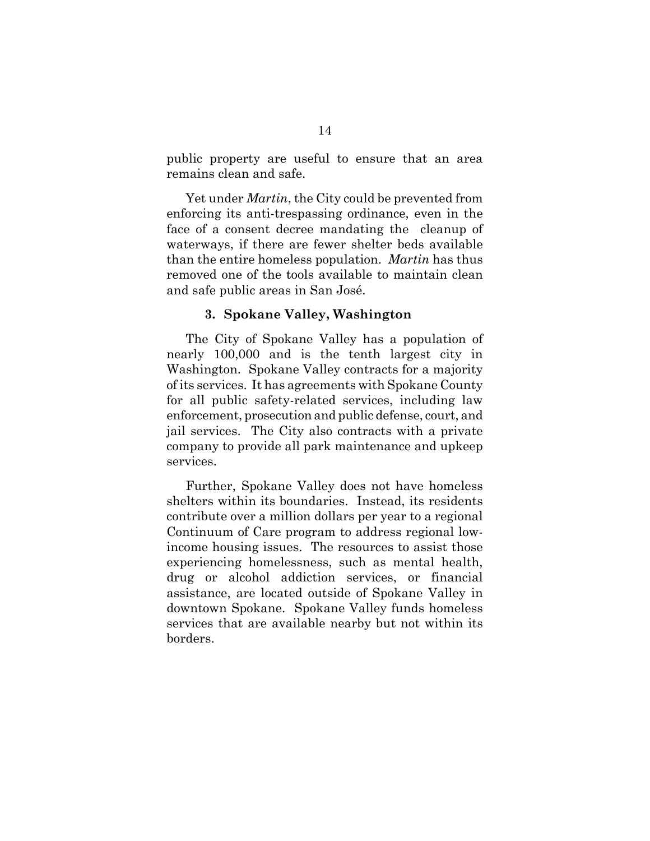public property are useful to ensure that an area remains clean and safe.

Yet under *Martin*, the City could be prevented from enforcing its anti-trespassing ordinance, even in the face of a consent decree mandating the cleanup of waterways, if there are fewer shelter beds available than the entire homeless population. *Martin* has thus removed one of the tools available to maintain clean and safe public areas in San José.

#### **3. Spokane Valley, Washington**

The City of Spokane Valley has a population of nearly 100,000 and is the tenth largest city in Washington. Spokane Valley contracts for a majority of its services. It has agreements with Spokane County for all public safety-related services, including law enforcement, prosecution and public defense, court, and jail services. The City also contracts with a private company to provide all park maintenance and upkeep services.

Further, Spokane Valley does not have homeless shelters within its boundaries. Instead, its residents contribute over a million dollars per year to a regional Continuum of Care program to address regional lowincome housing issues. The resources to assist those experiencing homelessness, such as mental health, drug or alcohol addiction services, or financial assistance, are located outside of Spokane Valley in downtown Spokane. Spokane Valley funds homeless services that are available nearby but not within its borders.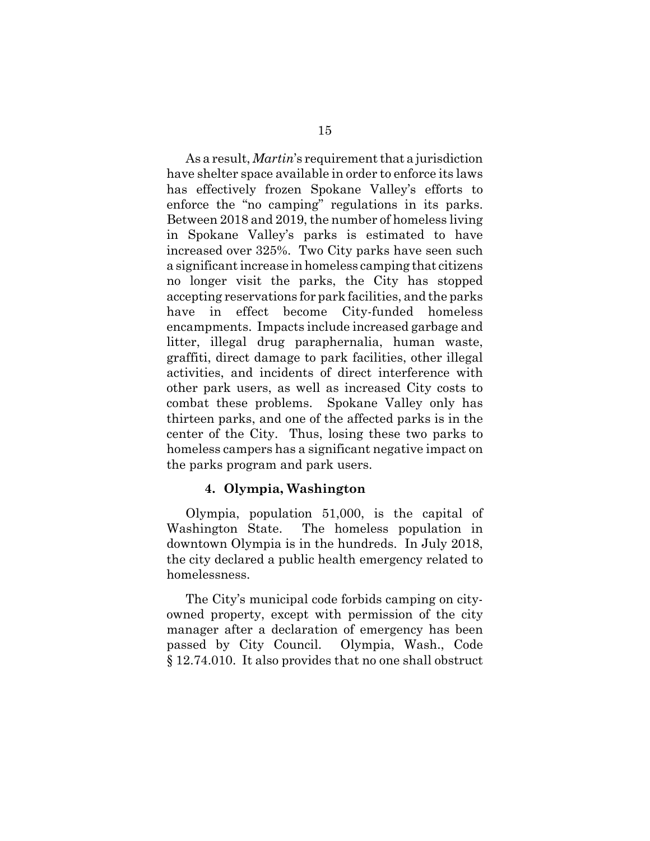As a result, *Martin*'s requirement that a jurisdiction have shelter space available in order to enforce its laws has effectively frozen Spokane Valley's efforts to enforce the "no camping" regulations in its parks. Between 2018 and 2019, the number of homeless living in Spokane Valley's parks is estimated to have increased over 325%. Two City parks have seen such a significant increase in homeless camping that citizens no longer visit the parks, the City has stopped accepting reservations for park facilities, and the parks have in effect become City-funded homeless encampments. Impacts include increased garbage and litter, illegal drug paraphernalia, human waste, graffiti, direct damage to park facilities, other illegal activities, and incidents of direct interference with other park users, as well as increased City costs to combat these problems. Spokane Valley only has thirteen parks, and one of the affected parks is in the center of the City. Thus, losing these two parks to homeless campers has a significant negative impact on the parks program and park users.

## **4. Olympia, Washington**

Olympia, population 51,000, is the capital of Washington State. The homeless population in downtown Olympia is in the hundreds. In July 2018, the city declared a public health emergency related to homelessness.

The City's municipal code forbids camping on cityowned property, except with permission of the city manager after a declaration of emergency has been passed by City Council. Olympia, Wash., Code § 12.74.010. It also provides that no one shall obstruct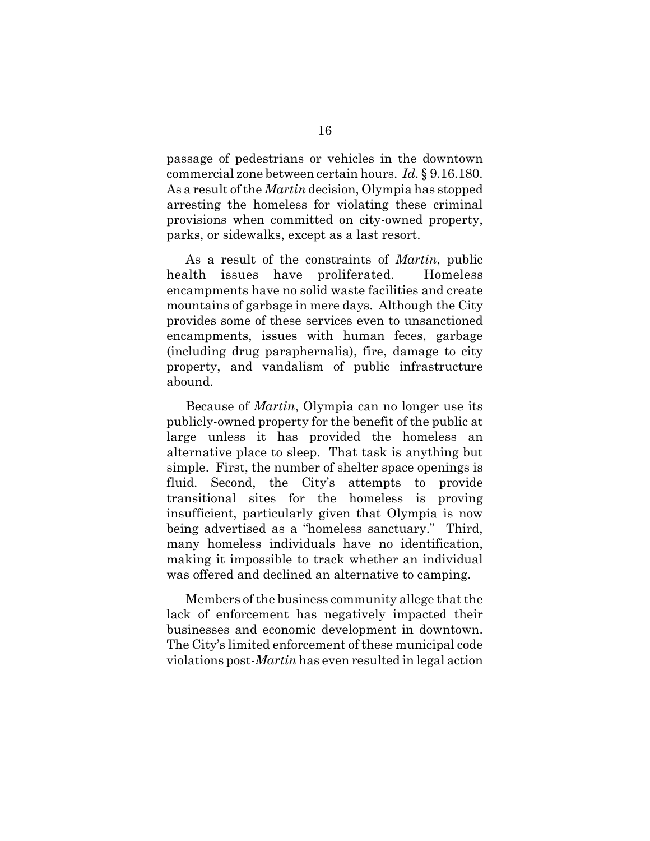passage of pedestrians or vehicles in the downtown commercial zone between certain hours. *Id*. § 9.16.180. As a result of the *Martin* decision, Olympia has stopped arresting the homeless for violating these criminal provisions when committed on city-owned property, parks, or sidewalks, except as a last resort.

As a result of the constraints of *Martin*, public health issues have proliferated. Homeless encampments have no solid waste facilities and create mountains of garbage in mere days. Although the City provides some of these services even to unsanctioned encampments, issues with human feces, garbage (including drug paraphernalia), fire, damage to city property, and vandalism of public infrastructure abound.

Because of *Martin*, Olympia can no longer use its publicly-owned property for the benefit of the public at large unless it has provided the homeless an alternative place to sleep. That task is anything but simple. First, the number of shelter space openings is fluid. Second, the City's attempts to provide transitional sites for the homeless is proving insufficient, particularly given that Olympia is now being advertised as a "homeless sanctuary." Third, many homeless individuals have no identification, making it impossible to track whether an individual was offered and declined an alternative to camping.

Members of the business community allege that the lack of enforcement has negatively impacted their businesses and economic development in downtown. The City's limited enforcement of these municipal code violations post-*Martin* has even resulted in legal action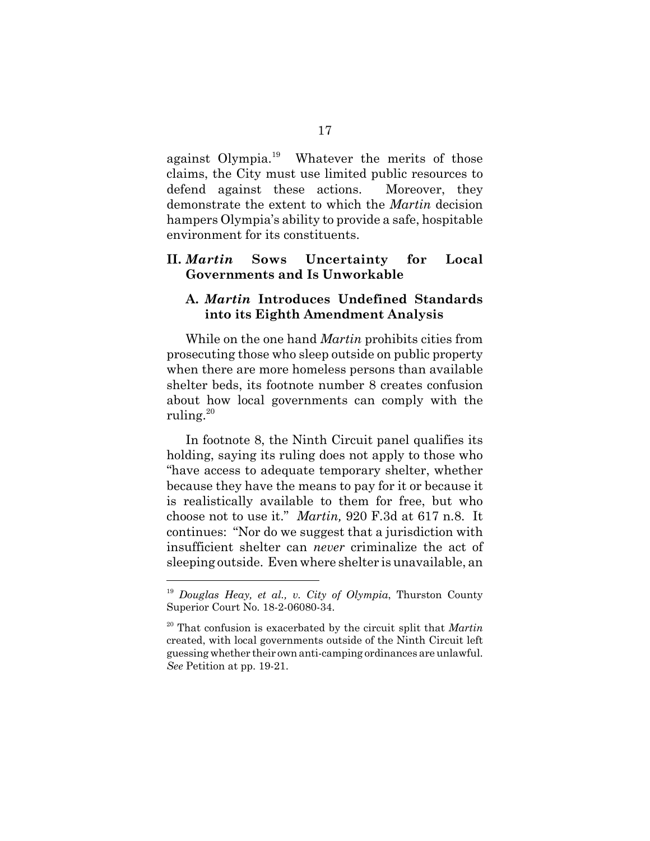against Olympia.<sup>19</sup> Whatever the merits of those claims, the City must use limited public resources to defend against these actions. Moreover, they demonstrate the extent to which the *Martin* decision hampers Olympia's ability to provide a safe, hospitable environment for its constituents.

## **II.** *Martin* **Sows Uncertainty for Local Governments and Is Unworkable**

## **A.** *Martin* **Introduces Undefined Standards into its Eighth Amendment Analysis**

While on the one hand *Martin* prohibits cities from prosecuting those who sleep outside on public property when there are more homeless persons than available shelter beds, its footnote number 8 creates confusion about how local governments can comply with the ruling. $20$ 

In footnote 8, the Ninth Circuit panel qualifies its holding, saying its ruling does not apply to those who "have access to adequate temporary shelter, whether because they have the means to pay for it or because it is realistically available to them for free, but who choose not to use it." *Martin,* 920 F.3d at 617 n.8. It continues: "Nor do we suggest that a jurisdiction with insufficient shelter can *never* criminalize the act of sleeping outside. Even where shelter is unavailable, an

<sup>19</sup> *Douglas Heay, et al., v. City of Olympia*, Thurston County Superior Court No. 18-2-06080-34.

<sup>20</sup> That confusion is exacerbated by the circuit split that *Martin* created, with local governments outside of the Ninth Circuit left guessing whether their own anti-camping ordinances are unlawful. *See* Petition at pp. 19-21.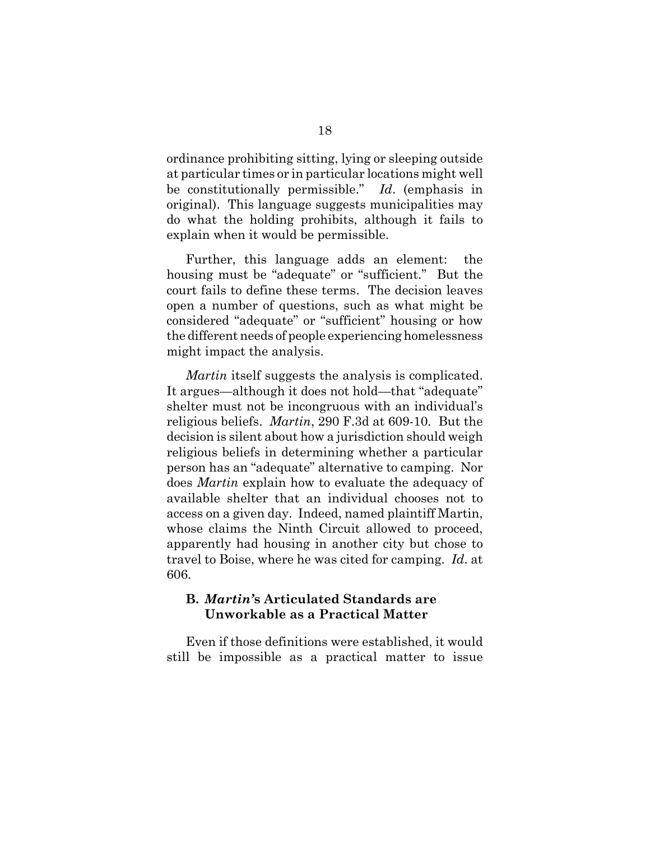ordinance prohibiting sitting, lying or sleeping outside at particular times or in particular locations might well be constitutionally permissible." *Id*. (emphasis in original). This language suggests municipalities may do what the holding prohibits, although it fails to explain when it would be permissible.

Further, this language adds an element: the housing must be "adequate" or "sufficient." But the court fails to define these terms. The decision leaves open a number of questions, such as what might be considered "adequate" or "sufficient" housing or how the different needs of people experiencing homelessness might impact the analysis.

*Martin* itself suggests the analysis is complicated. It argues—although it does not hold—that "adequate" shelter must not be incongruous with an individual's religious beliefs. *Martin*, 290 F.3d at 609-10. But the decision is silent about how a jurisdiction should weigh religious beliefs in determining whether a particular person has an "adequate" alternative to camping. Nor does *Martin* explain how to evaluate the adequacy of available shelter that an individual chooses not to access on a given day. Indeed, named plaintiff Martin, whose claims the Ninth Circuit allowed to proceed, apparently had housing in another city but chose to travel to Boise, where he was cited for camping. *Id*. at 606.

## **B.** *Martin'***s Articulated Standards are Unworkable as a Practical Matter**

Even if those definitions were established, it would still be impossible as a practical matter to issue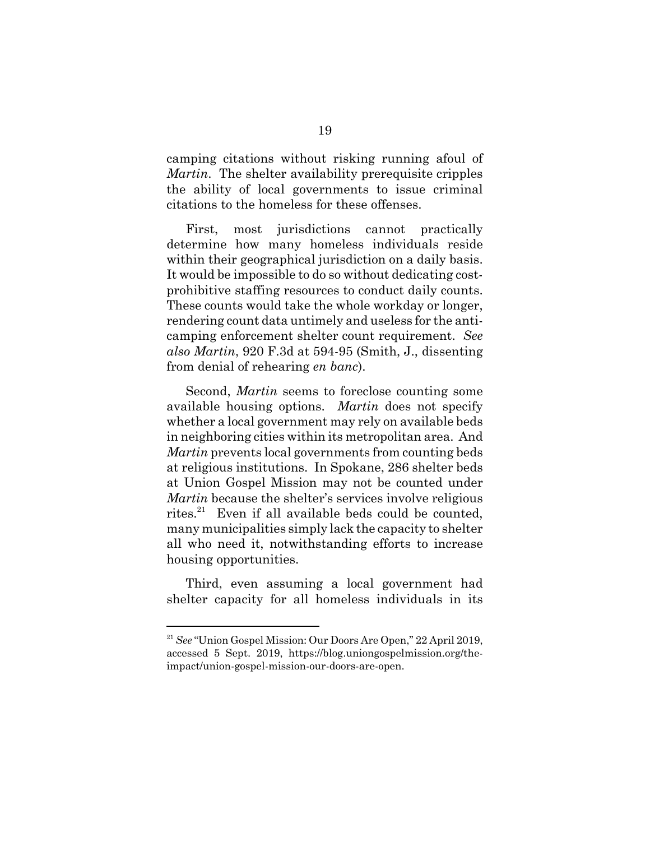camping citations without risking running afoul of *Martin*. The shelter availability prerequisite cripples the ability of local governments to issue criminal citations to the homeless for these offenses.

First, most jurisdictions cannot practically determine how many homeless individuals reside within their geographical jurisdiction on a daily basis. It would be impossible to do so without dedicating costprohibitive staffing resources to conduct daily counts. These counts would take the whole workday or longer, rendering count data untimely and useless for the anticamping enforcement shelter count requirement. *See also Martin*, 920 F.3d at 594-95 (Smith, J., dissenting from denial of rehearing *en banc*).

Second, *Martin* seems to foreclose counting some available housing options. *Martin* does not specify whether a local government may rely on available beds in neighboring cities within its metropolitan area. And *Martin* prevents local governments from counting beds at religious institutions. In Spokane, 286 shelter beds at Union Gospel Mission may not be counted under *Martin* because the shelter's services involve religious rites.<sup>21</sup> Even if all available beds could be counted, many municipalities simply lack the capacity to shelter all who need it, notwithstanding efforts to increase housing opportunities.

Third, even assuming a local government had shelter capacity for all homeless individuals in its

<sup>21</sup> *See* "Union Gospel Mission: Our Doors Are Open," 22 April 2019, accessed 5 Sept. 2019, https://blog.uniongospelmission.org/theimpact/union-gospel-mission-our-doors-are-open.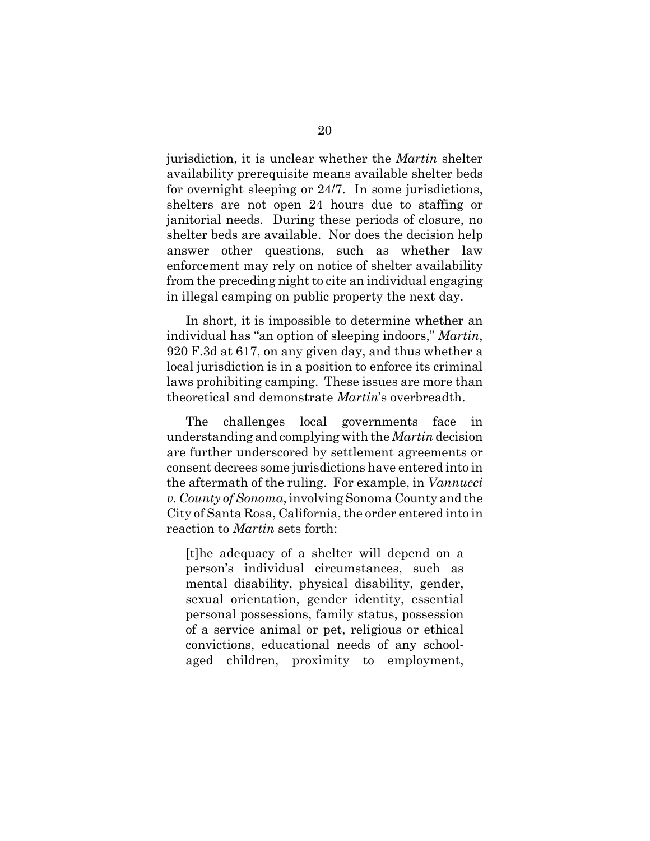jurisdiction, it is unclear whether the *Martin* shelter availability prerequisite means available shelter beds for overnight sleeping or 24/7. In some jurisdictions, shelters are not open 24 hours due to staffing or janitorial needs. During these periods of closure, no shelter beds are available. Nor does the decision help answer other questions, such as whether law enforcement may rely on notice of shelter availability from the preceding night to cite an individual engaging in illegal camping on public property the next day.

In short, it is impossible to determine whether an individual has "an option of sleeping indoors," *Martin*, 920 F.3d at 617, on any given day, and thus whether a local jurisdiction is in a position to enforce its criminal laws prohibiting camping. These issues are more than theoretical and demonstrate *Martin*'s overbreadth.

The challenges local governments face in understanding and complying with the *Martin* decision are further underscored by settlement agreements or consent decrees some jurisdictions have entered into in the aftermath of the ruling. For example, in *Vannucci v. County of Sonoma*, involving Sonoma County and the City of Santa Rosa, California, the order entered into in reaction to *Martin* sets forth:

[t]he adequacy of a shelter will depend on a person's individual circumstances, such as mental disability, physical disability, gender, sexual orientation, gender identity, essential personal possessions, family status, possession of a service animal or pet, religious or ethical convictions, educational needs of any schoolaged children, proximity to employment,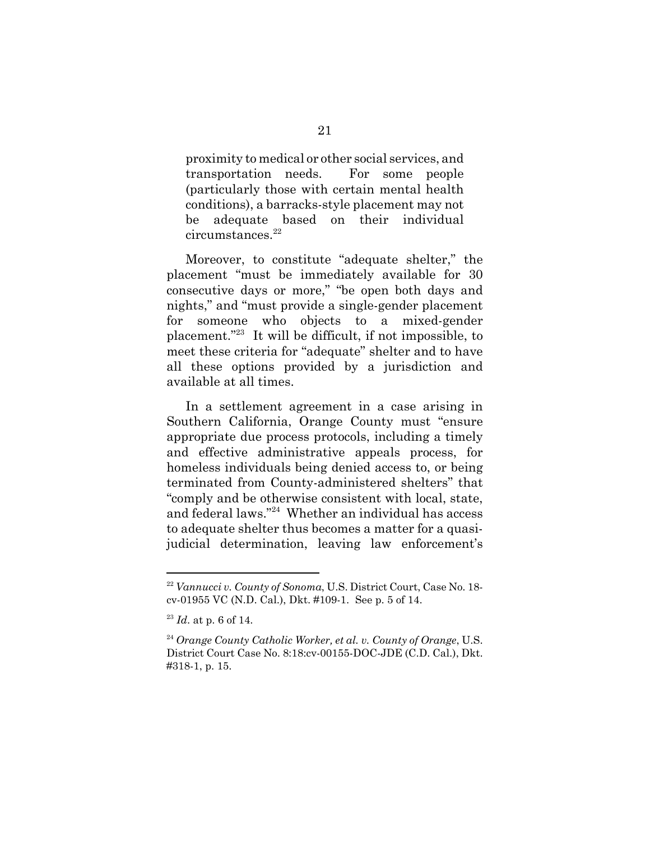proximity to medical or other social services, and transportation needs. For some people (particularly those with certain mental health conditions), a barracks-style placement may not be adequate based on their individual circumstances.<sup>22</sup>

Moreover, to constitute "adequate shelter," the placement "must be immediately available for 30 consecutive days or more," "be open both days and nights," and "must provide a single-gender placement for someone who objects to a mixed-gender placement."23 It will be difficult, if not impossible, to meet these criteria for "adequate" shelter and to have all these options provided by a jurisdiction and available at all times.

In a settlement agreement in a case arising in Southern California, Orange County must "ensure appropriate due process protocols, including a timely and effective administrative appeals process, for homeless individuals being denied access to, or being terminated from County-administered shelters" that "comply and be otherwise consistent with local, state, and federal laws."24 Whether an individual has access to adequate shelter thus becomes a matter for a quasijudicial determination, leaving law enforcement's

<sup>22</sup> *Vannucci v. County of Sonoma*, U.S. District Court, Case No. 18 cv-01955 VC (N.D. Cal.), Dkt. #109-1. See p. 5 of 14.

<sup>23</sup> *Id*. at p. 6 of 14.

<sup>24</sup> *Orange County Catholic Worker, et al. v. County of Orange*, U.S. District Court Case No. 8:18:cv-00155-DOC-JDE (C.D. Cal.), Dkt. #318-1, p. 15.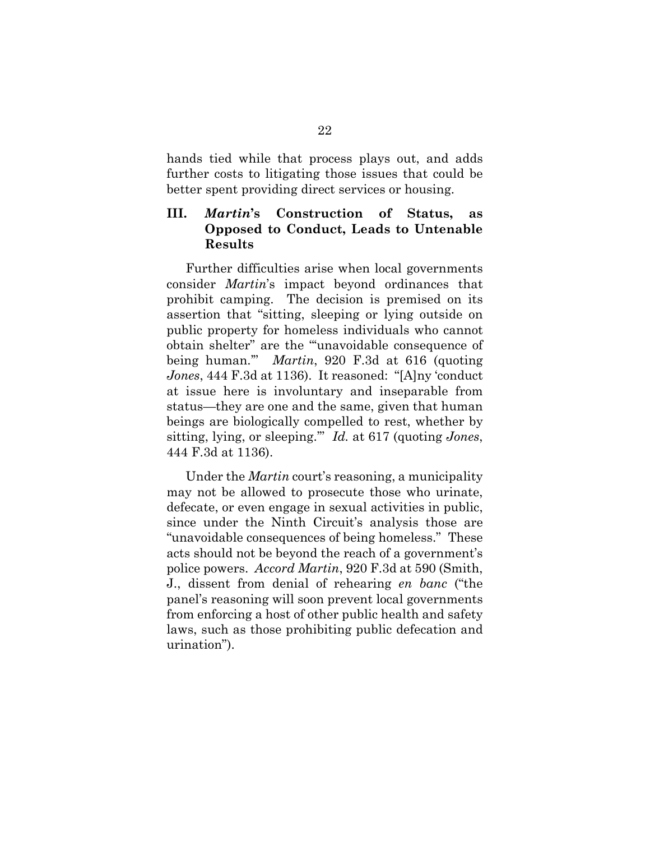hands tied while that process plays out, and adds further costs to litigating those issues that could be better spent providing direct services or housing.

## **III.** *Martin***'s Construction of Status, as Opposed to Conduct, Leads to Untenable Results**

Further difficulties arise when local governments consider *Martin*'s impact beyond ordinances that prohibit camping. The decision is premised on its assertion that "sitting, sleeping or lying outside on public property for homeless individuals who cannot obtain shelter" are the "'unavoidable consequence of being human.'" *Martin*, 920 F.3d at 616 (quoting *Jones*, 444 F.3d at 1136). It reasoned: "[A]ny 'conduct at issue here is involuntary and inseparable from status—they are one and the same, given that human beings are biologically compelled to rest, whether by sitting, lying, or sleeping.'" *Id.* at 617 (quoting *Jones*, 444 F.3d at 1136).

Under the *Martin* court's reasoning, a municipality may not be allowed to prosecute those who urinate, defecate, or even engage in sexual activities in public, since under the Ninth Circuit's analysis those are "unavoidable consequences of being homeless." These acts should not be beyond the reach of a government's police powers. *Accord Martin*, 920 F.3d at 590 (Smith, J., dissent from denial of rehearing *en banc* ("the panel's reasoning will soon prevent local governments from enforcing a host of other public health and safety laws, such as those prohibiting public defecation and urination").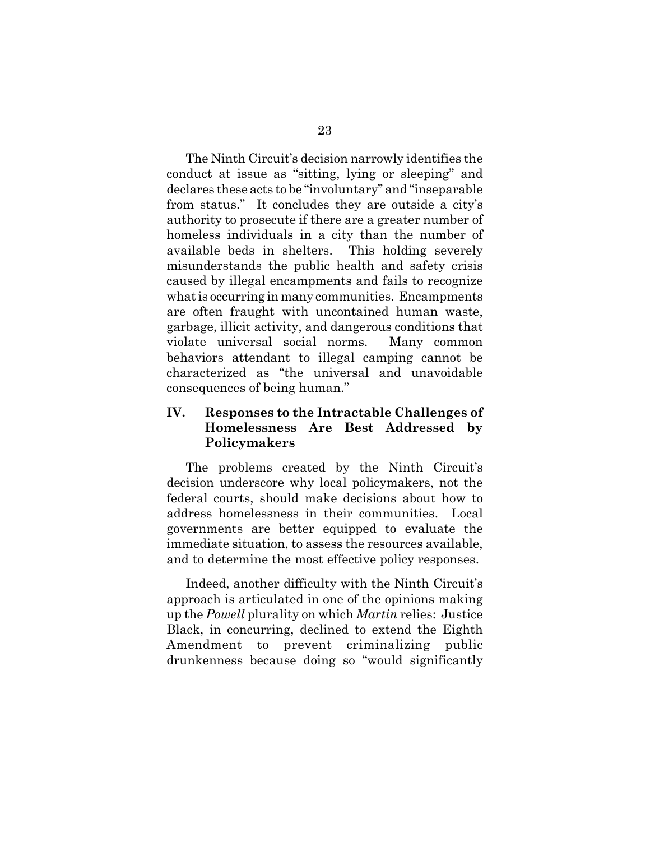The Ninth Circuit's decision narrowly identifies the conduct at issue as "sitting, lying or sleeping" and declares these acts to be "involuntary" and "inseparable from status." It concludes they are outside a city's authority to prosecute if there are a greater number of homeless individuals in a city than the number of available beds in shelters. This holding severely misunderstands the public health and safety crisis caused by illegal encampments and fails to recognize what is occurring in many communities. Encampments are often fraught with uncontained human waste, garbage, illicit activity, and dangerous conditions that violate universal social norms. Many common behaviors attendant to illegal camping cannot be characterized as "the universal and unavoidable consequences of being human."

## **IV. Responses to the Intractable Challenges of Homelessness Are Best Addressed by Policymakers**

The problems created by the Ninth Circuit's decision underscore why local policymakers, not the federal courts, should make decisions about how to address homelessness in their communities. Local governments are better equipped to evaluate the immediate situation, to assess the resources available, and to determine the most effective policy responses.

Indeed, another difficulty with the Ninth Circuit's approach is articulated in one of the opinions making up the *Powell* plurality on which *Martin* relies: Justice Black, in concurring, declined to extend the Eighth Amendment to prevent criminalizing public drunkenness because doing so "would significantly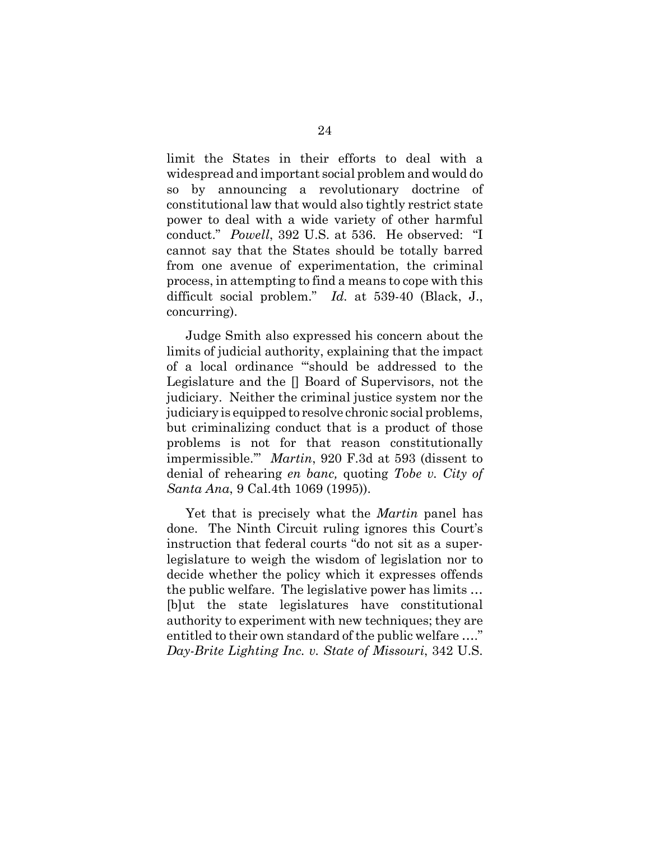limit the States in their efforts to deal with a widespread and important social problem and would do so by announcing a revolutionary doctrine of constitutional law that would also tightly restrict state power to deal with a wide variety of other harmful conduct." *Powell*, 392 U.S. at 536. He observed: "I cannot say that the States should be totally barred from one avenue of experimentation, the criminal process, in attempting to find a means to cope with this difficult social problem." *Id.* at 539-40 (Black, J., concurring).

Judge Smith also expressed his concern about the limits of judicial authority, explaining that the impact of a local ordinance "'should be addressed to the Legislature and the [] Board of Supervisors, not the judiciary. Neither the criminal justice system nor the judiciary is equipped to resolve chronic social problems, but criminalizing conduct that is a product of those problems is not for that reason constitutionally impermissible.'" *Martin*, 920 F.3d at 593 (dissent to denial of rehearing *en banc,* quoting *Tobe v. City of Santa Ana*, 9 Cal.4th 1069 (1995)).

Yet that is precisely what the *Martin* panel has done. The Ninth Circuit ruling ignores this Court's instruction that federal courts "do not sit as a superlegislature to weigh the wisdom of legislation nor to decide whether the policy which it expresses offends the public welfare. The legislative power has limits … [b]ut the state legislatures have constitutional authority to experiment with new techniques; they are entitled to their own standard of the public welfare …." *Day-Brite Lighting Inc. v. State of Missouri*, 342 U.S.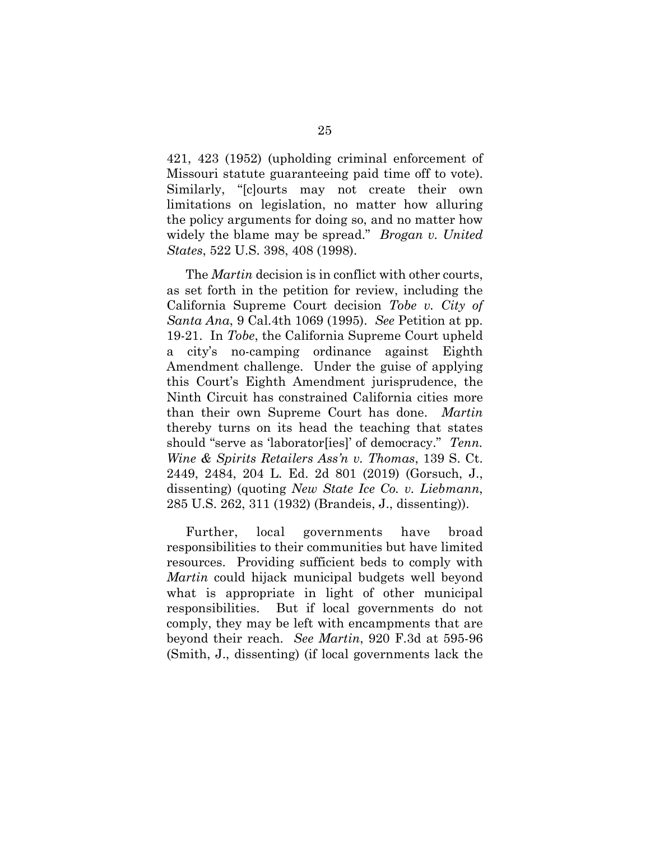421, 423 (1952) (upholding criminal enforcement of Missouri statute guaranteeing paid time off to vote). Similarly, "[c]ourts may not create their own limitations on legislation, no matter how alluring the policy arguments for doing so, and no matter how widely the blame may be spread." *Brogan v. United States*, 522 U.S. 398, 408 (1998).

The *Martin* decision is in conflict with other courts, as set forth in the petition for review, including the California Supreme Court decision *Tobe v. City of Santa Ana*, 9 Cal.4th 1069 (1995). *See* Petition at pp. 19-21. In *Tobe*, the California Supreme Court upheld a city's no-camping ordinance against Eighth Amendment challenge. Under the guise of applying this Court's Eighth Amendment jurisprudence, the Ninth Circuit has constrained California cities more than their own Supreme Court has done. *Martin* thereby turns on its head the teaching that states should "serve as 'laborator[ies]' of democracy." *Tenn. Wine & Spirits Retailers Ass'n v. Thomas*, 139 S. Ct. 2449, 2484, 204 L. Ed. 2d 801 (2019) (Gorsuch, J., dissenting) (quoting *New State Ice Co. v. Liebmann*, 285 U.S. 262, 311 (1932) (Brandeis, J., dissenting)).

Further, local governments have broad responsibilities to their communities but have limited resources. Providing sufficient beds to comply with *Martin* could hijack municipal budgets well beyond what is appropriate in light of other municipal responsibilities. But if local governments do not comply, they may be left with encampments that are beyond their reach. *See Martin*, 920 F.3d at 595-96 (Smith, J., dissenting) (if local governments lack the